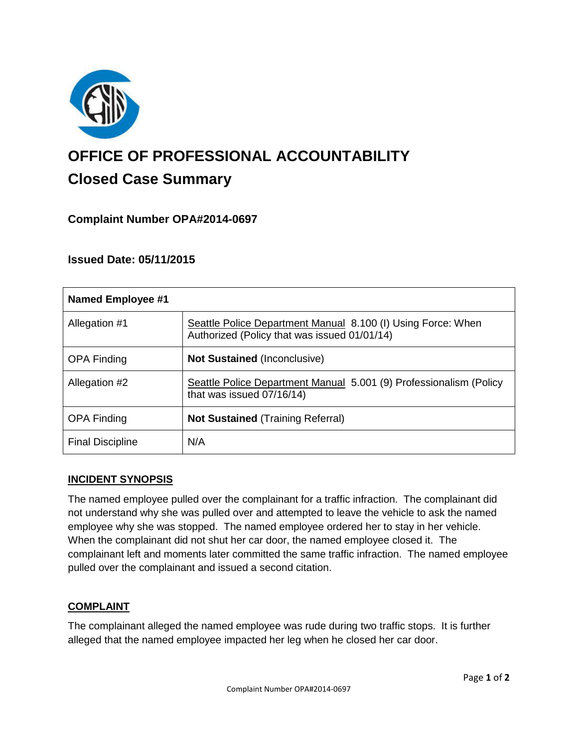

# **OFFICE OF PROFESSIONAL ACCOUNTABILITY Closed Case Summary**

# **Complaint Number OPA#2014-0697**

# **Issued Date: 05/11/2015**

| Named Employee #1       |                                                                                                              |
|-------------------------|--------------------------------------------------------------------------------------------------------------|
| Allegation #1           | Seattle Police Department Manual 8.100 (I) Using Force: When<br>Authorized (Policy that was issued 01/01/14) |
| <b>OPA Finding</b>      | <b>Not Sustained (Inconclusive)</b>                                                                          |
| Allegation #2           | Seattle Police Department Manual 5.001 (9) Professionalism (Policy<br>that was issued 07/16/14)              |
| <b>OPA Finding</b>      | <b>Not Sustained (Training Referral)</b>                                                                     |
| <b>Final Discipline</b> | N/A                                                                                                          |

#### **INCIDENT SYNOPSIS**

The named employee pulled over the complainant for a traffic infraction. The complainant did not understand why she was pulled over and attempted to leave the vehicle to ask the named employee why she was stopped. The named employee ordered her to stay in her vehicle. When the complainant did not shut her car door, the named employee closed it. The complainant left and moments later committed the same traffic infraction. The named employee pulled over the complainant and issued a second citation.

#### **COMPLAINT**

The complainant alleged the named employee was rude during two traffic stops. It is further alleged that the named employee impacted her leg when he closed her car door.